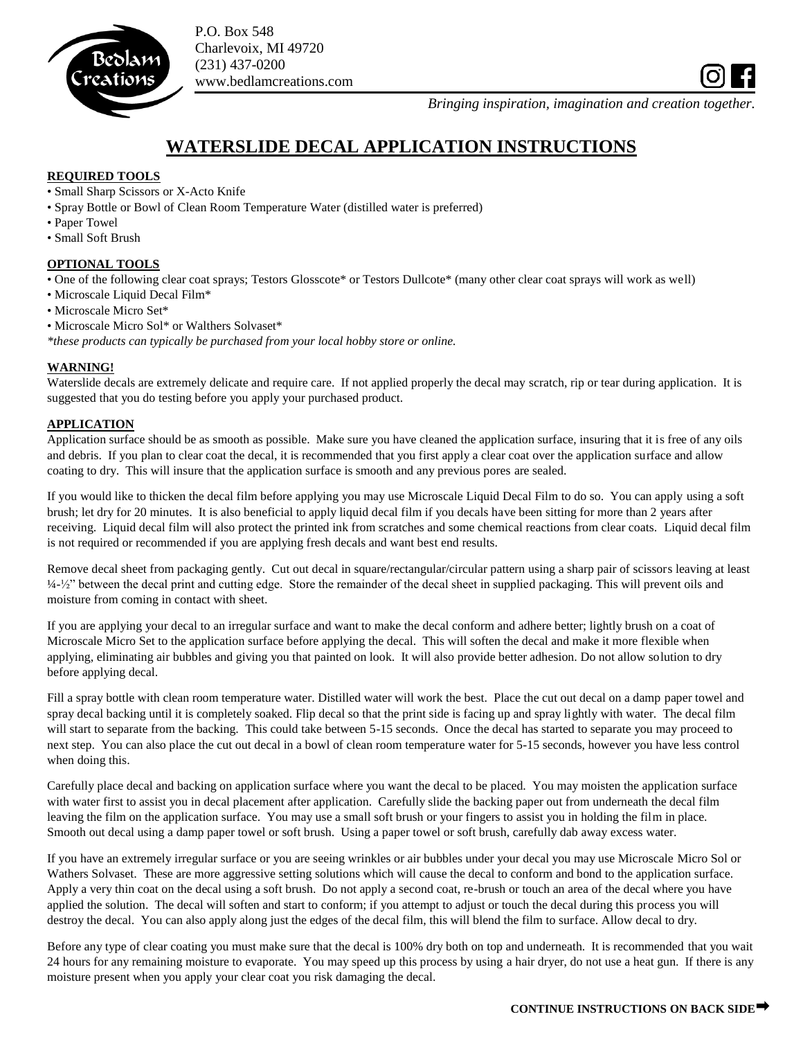

P.O. Box 548 Charlevoix, MI 49720 (231) 437-0200 www.bedlamcreations.com

*Bringing inspiration, imagination and creation together.*

# **WATERSLIDE DECAL APPLICATION INSTRUCTIONS**

## **REQUIRED TOOLS**

- Small Sharp Scissors or X-Acto Knife
- Spray Bottle or Bowl of Clean Room Temperature Water (distilled water is preferred)
- Paper Towel
- Small Soft Brush

### **OPTIONAL TOOLS**

• One of the following clear coat sprays; Testors Glosscote\* or Testors Dullcote\* (many other clear coat sprays will work as well)

- Microscale Liquid Decal Film\*
- Microscale Micro Set\*
- Microscale Micro Sol\* or Walthers Solvaset\*

*\*these products can typically be purchased from your local hobby store or online.*

## **WARNING!**

Waterslide decals are extremely delicate and require care. If not applied properly the decal may scratch, rip or tear during application. It is suggested that you do testing before you apply your purchased product.

## **APPLICATION**

Application surface should be as smooth as possible. Make sure you have cleaned the application surface, insuring that it is free of any oils and debris. If you plan to clear coat the decal, it is recommended that you first apply a clear coat over the application surface and allow coating to dry. This will insure that the application surface is smooth and any previous pores are sealed.

If you would like to thicken the decal film before applying you may use Microscale Liquid Decal Film to do so. You can apply using a soft brush; let dry for 20 minutes. It is also beneficial to apply liquid decal film if you decals have been sitting for more than 2 years after receiving. Liquid decal film will also protect the printed ink from scratches and some chemical reactions from clear coats. Liquid decal film is not required or recommended if you are applying fresh decals and want best end results.

Remove decal sheet from packaging gently. Cut out decal in square/rectangular/circular pattern using a sharp pair of scissors leaving at least ¼-½" between the decal print and cutting edge. Store the remainder of the decal sheet in supplied packaging. This will prevent oils and moisture from coming in contact with sheet.

If you are applying your decal to an irregular surface and want to make the decal conform and adhere better; lightly brush on a coat of Microscale Micro Set to the application surface before applying the decal. This will soften the decal and make it more flexible when applying, eliminating air bubbles and giving you that painted on look. It will also provide better adhesion. Do not allow solution to dry before applying decal.

Fill a spray bottle with clean room temperature water. Distilled water will work the best. Place the cut out decal on a damp paper towel and spray decal backing until it is completely soaked. Flip decal so that the print side is facing up and spray lightly with water. The decal film will start to separate from the backing. This could take between 5-15 seconds. Once the decal has started to separate you may proceed to next step. You can also place the cut out decal in a bowl of clean room temperature water for 5-15 seconds, however you have less control when doing this.

Carefully place decal and backing on application surface where you want the decal to be placed. You may moisten the application surface with water first to assist you in decal placement after application. Carefully slide the backing paper out from underneath the decal film leaving the film on the application surface. You may use a small soft brush or your fingers to assist you in holding the film in place. Smooth out decal using a damp paper towel or soft brush. Using a paper towel or soft brush, carefully dab away excess water.

If you have an extremely irregular surface or you are seeing wrinkles or air bubbles under your decal you may use Microscale Micro Sol or Wathers Solvaset. These are more aggressive setting solutions which will cause the decal to conform and bond to the application surface. Apply a very thin coat on the decal using a soft brush. Do not apply a second coat, re-brush or touch an area of the decal where you have applied the solution. The decal will soften and start to conform; if you attempt to adjust or touch the decal during this process you will destroy the decal. You can also apply along just the edges of the decal film, this will blend the film to surface. Allow decal to dry.

Before any type of clear coating you must make sure that the decal is 100% dry both on top and underneath. It is recommended that you wait 24 hours for any remaining moisture to evaporate. You may speed up this process by using a hair dryer, do not use a heat gun. If there is any moisture present when you apply your clear coat you risk damaging the decal.